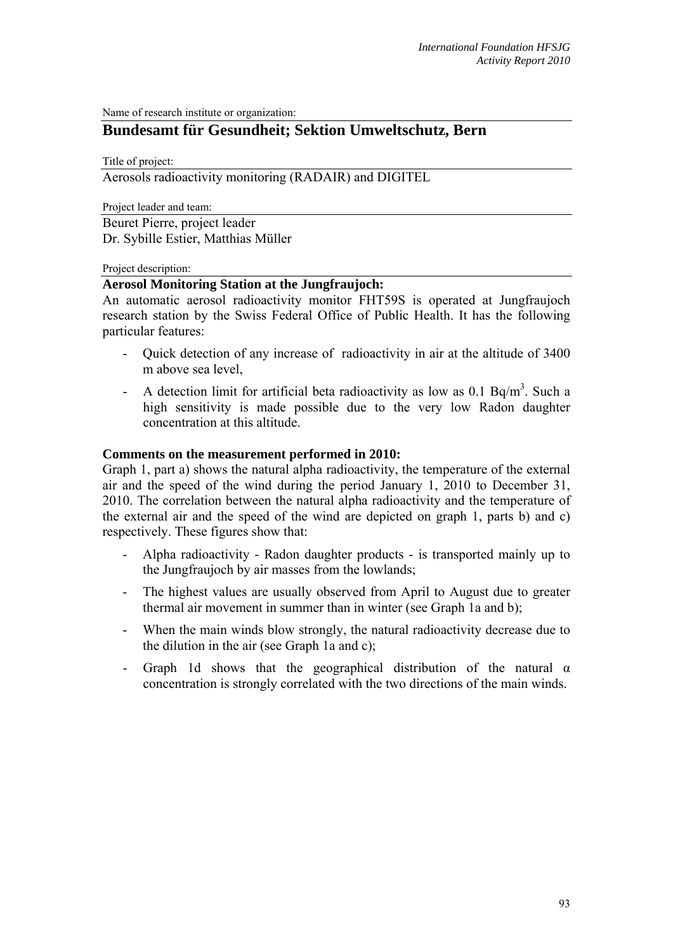Name of research institute or organization:

# **Bundesamt für Gesundheit; Sektion Umweltschutz, Bern**

Title of project:

## Aerosols radioactivity monitoring (RADAIR) and DIGITEL

Project leader and team:

Beuret Pierre, project leader Dr. Sybille Estier, Matthias Müller

#### Project description:

### **Aerosol Monitoring Station at the Jungfraujoch:**

An automatic aerosol radioactivity monitor FHT59S is operated at Jungfraujoch research station by the Swiss Federal Office of Public Health. It has the following particular features:

- Quick detection of any increase of radioactivity in air at the altitude of 3400 m above sea level,
- A detection limit for artificial beta radioactivity as low as 0.1 Bq/m<sup>3</sup>. Such a high sensitivity is made possible due to the very low Radon daughter concentration at this altitude.

#### **Comments on the measurement performed in 2010:**

Graph 1, part a) shows the natural alpha radioactivity, the temperature of the external air and the speed of the wind during the period January 1, 2010 to December 31, 2010. The correlation between the natural alpha radioactivity and the temperature of the external air and the speed of the wind are depicted on graph 1, parts b) and c) respectively. These figures show that:

- Alpha radioactivity Radon daughter products is transported mainly up to the Jungfraujoch by air masses from the lowlands;
- The highest values are usually observed from April to August due to greater thermal air movement in summer than in winter (see Graph 1a and b);
- When the main winds blow strongly, the natural radioactivity decrease due to the dilution in the air (see Graph 1a and c);
- Graph 1d shows that the geographical distribution of the natural  $\alpha$ concentration is strongly correlated with the two directions of the main winds.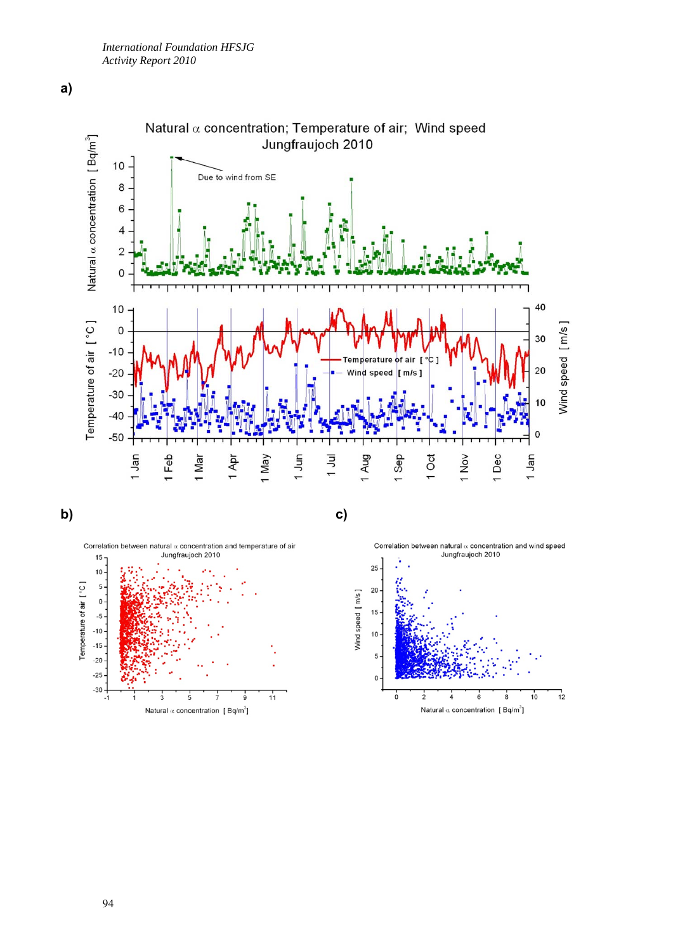







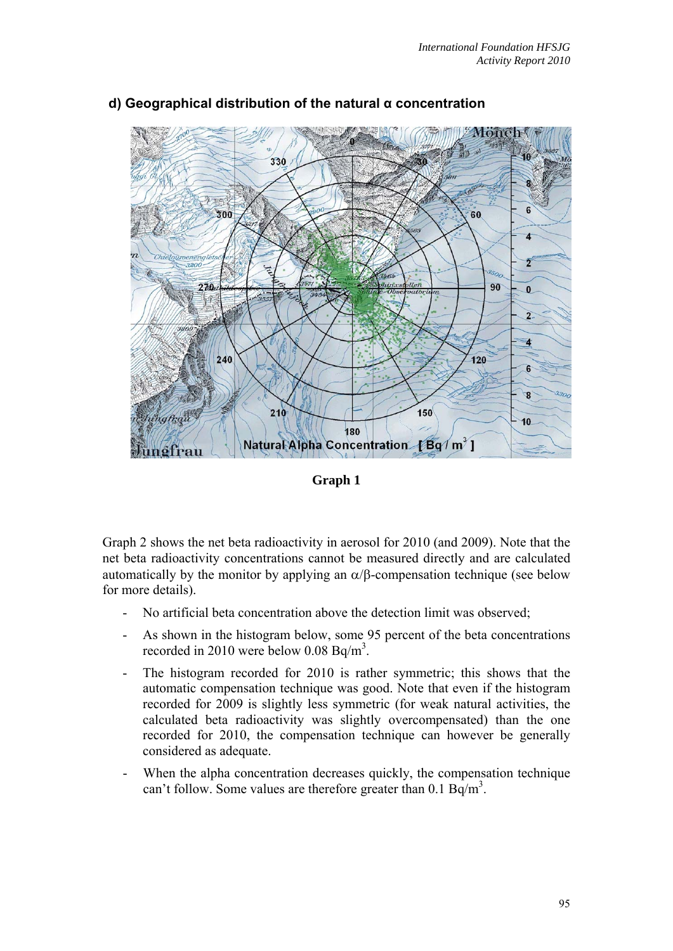

# **d) Geographical distribution of the natural α concentration**

**Graph 1** 

Graph 2 shows the net beta radioactivity in aerosol for 2010 (and 2009). Note that the net beta radioactivity concentrations cannot be measured directly and are calculated automatically by the monitor by applying an  $\alpha$ / $\beta$ -compensation technique (see below for more details).

- No artificial beta concentration above the detection limit was observed;
- As shown in the histogram below, some 95 percent of the beta concentrations recorded in 2010 were below  $0.08$  Bq/m<sup>3</sup>.
- The histogram recorded for 2010 is rather symmetric; this shows that the automatic compensation technique was good. Note that even if the histogram recorded for 2009 is slightly less symmetric (for weak natural activities, the calculated beta radioactivity was slightly overcompensated) than the one recorded for 2010, the compensation technique can however be generally considered as adequate.
- When the alpha concentration decreases quickly, the compensation technique can't follow. Some values are therefore greater than  $0.1 \text{ Bq/m}^3$ .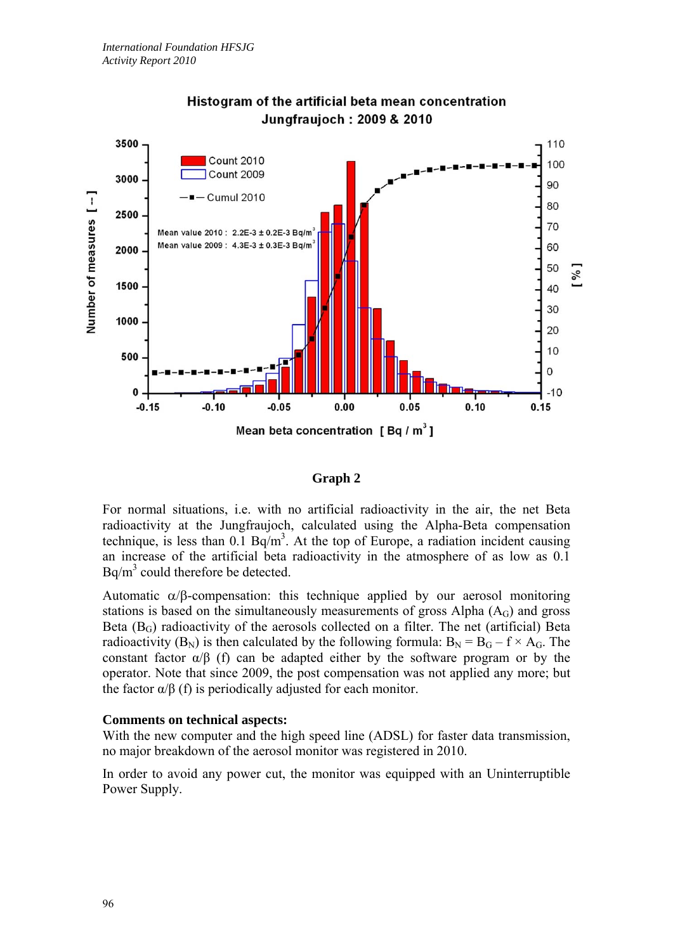

# Histogram of the artificial beta mean concentration **Junafraujoch: 2009 & 2010**

## **Graph 2**

For normal situations, i.e. with no artificial radioactivity in the air, the net Beta radioactivity at the Jungfraujoch, calculated using the Alpha-Beta compensation technique, is less than  $0.1$  Bq/m<sup>3</sup>. At the top of Europe, a radiation incident causing an increase of the artificial beta radioactivity in the atmosphere of as low as 0.1  $Bq/m<sup>3</sup>$  could therefore be detected.

Automatic  $\alpha/\beta$ -compensation: this technique applied by our aerosol monitoring stations is based on the simultaneously measurements of gross Alpha  $(A<sub>G</sub>)$  and gross Beta  $(B_G)$  radioactivity of the aerosols collected on a filter. The net (artificial) Beta radioactivity (B<sub>N</sub>) is then calculated by the following formula:  $B_N = B_G - f \times A_G$ . The constant factor  $\alpha/\beta$  (f) can be adapted either by the software program or by the operator. Note that since 2009, the post compensation was not applied any more; but the factor  $\alpha/\beta$  (f) is periodically adjusted for each monitor.

## **Comments on technical aspects:**

With the new computer and the high speed line (ADSL) for faster data transmission, no major breakdown of the aerosol monitor was registered in 2010.

In order to avoid any power cut, the monitor was equipped with an Uninterruptible Power Supply.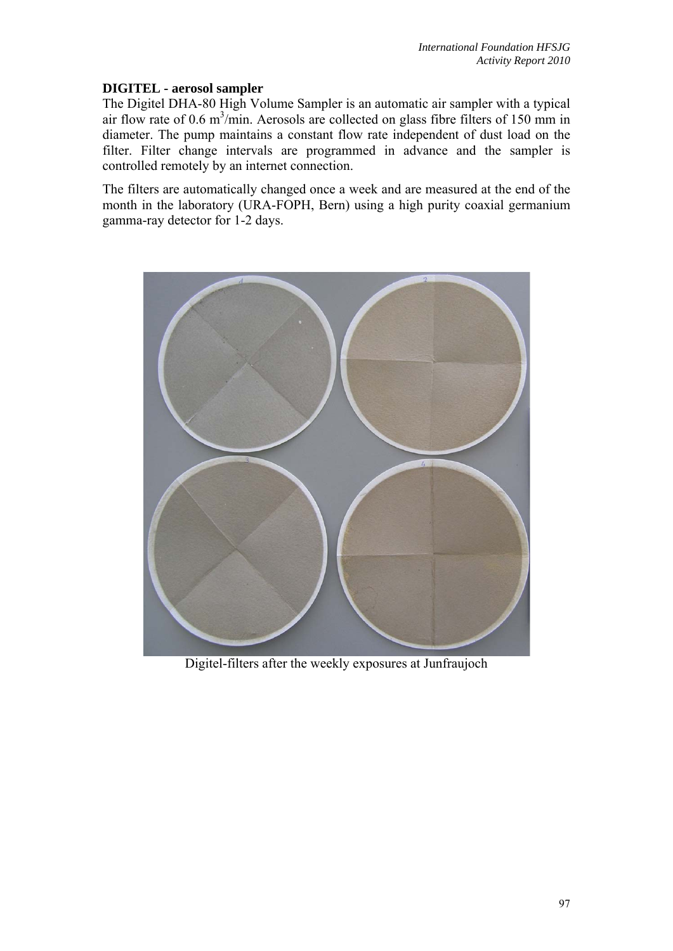# **DIGITEL - aerosol sampler**

The Digitel DHA-80 High Volume Sampler is an automatic air sampler with a typical air flow rate of  $0.6 \text{ m}^3/\text{min}$ . Aerosols are collected on glass fibre filters of 150 mm in diameter. The pump maintains a constant flow rate independent of dust load on the filter. Filter change intervals are programmed in advance and the sampler is controlled remotely by an internet connection.

The filters are automatically changed once a week and are measured at the end of the month in the laboratory (URA-FOPH, Bern) using a high purity coaxial germanium gamma-ray detector for 1-2 days.



Digitel-filters after the weekly exposures at Junfraujoch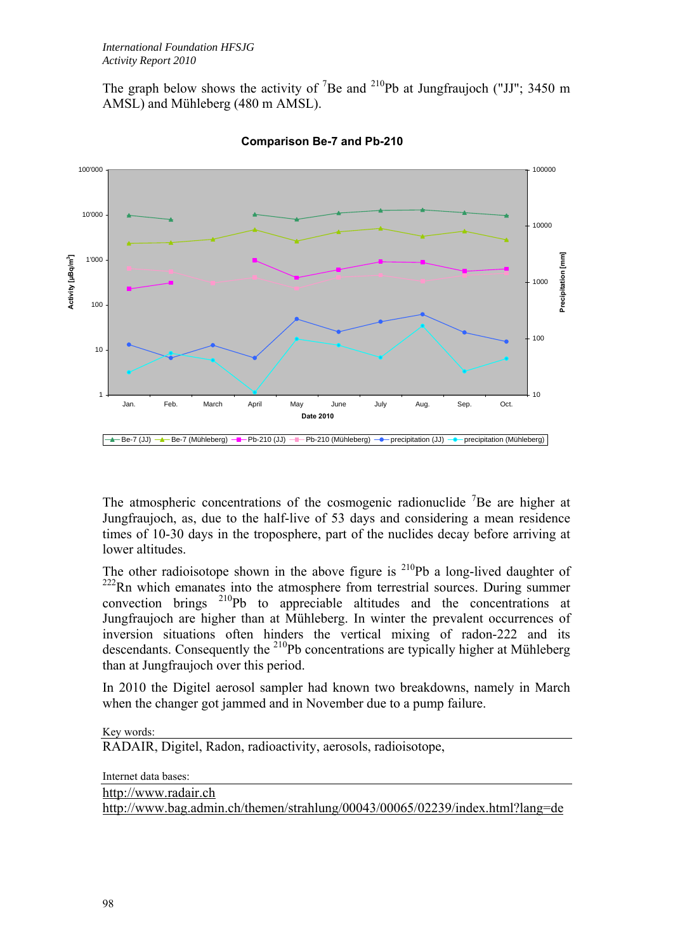The graph below shows the activity of <sup>7</sup>Be and <sup>210</sup>Pb at Jungfraujoch ("JJ"; 3450 m AMSL) and Mühleberg (480 m AMSL).



**Comparison Be-7 and Pb-210**

The atmospheric concentrations of the cosmogenic radionuclide  ${}^{7}$ Be are higher at Jungfraujoch, as, due to the half-live of 53 days and considering a mean residence times of 10-30 days in the troposphere, part of the nuclides decay before arriving at lower altitudes.

The other radioisotope shown in the above figure is  $^{210}Pb$  a long-lived daughter of <sup>222</sup>Rn which emanates into the atmosphere from terrestrial sources. During summer convection brings <sup>210</sup>Pb to appreciable altitudes and the concentrations at Jungfraujoch are higher than at Mühleberg. In winter the prevalent occurrences of inversion situations often hinders the vertical mixing of radon-222 and its descendants. Consequently the  $^{210}Pb$  concentrations are typically higher at Mühleberg than at Jungfraujoch over this period.

In 2010 the Digitel aerosol sampler had known two breakdowns, namely in March when the changer got jammed and in November due to a pump failure.

Key words: RADAIR, Digitel, Radon, radioactivity, aerosols, radioisotope,

Internet data bases:

http://www.radair.ch http://www.bag.admin.ch/themen/strahlung/00043/00065/02239/index.html?lang=de